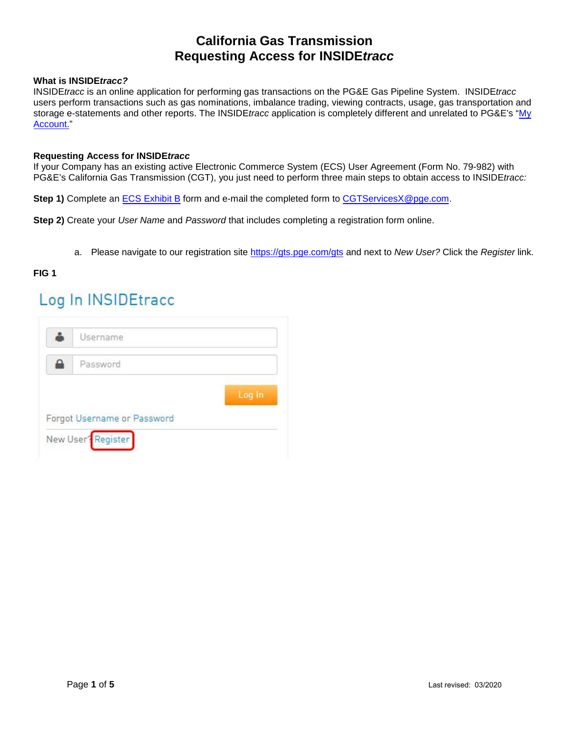### **What is INSIDE***tracc?*

INSIDE*tracc* is an online application for performing gas transactions on the PG&E Gas Pipeline System. INSIDE*tracc*  users perform transactions such as gas nominations, imbalance trading, viewing contracts, usage, gas transportation and storage e-statements and other reports. The INSIDE*tracc* application is completely different and unrelated to PG&E's ["My](http://www.pge.com/en/myhome/myaccount/index.page?) [Account.](http://www.pge.com/en/myhome/myaccount/index.page?)"

#### **Requesting Access for INSIDE***tracc*

If your Company has an existing active Electronic Commerce System (ECS) User Agreement (Form No. 79-982) with PG&E's California Gas Transmission (CGT), you just need to perform three main steps to obtain access to INSIDE*tracc:*

**Step 1)** Complete an [ECS Exhibit B](http://www.pge.com/pipeline_resources/pdf/library/forms/GAS_FORMS_79-982B.pdf) form and e-mail the completed form to CGTServicesX@pge.com.

**Step 2)** Create your *User Name* and *Password* that includes completing a registration form online.

a. Please navigate to our registration site <https://gts.pge.com/gts> and next to *New User?* Click the *Register* link.

### **FIG 1**

# Log In INSIDEtracc

| Password |                    |                             |        |
|----------|--------------------|-----------------------------|--------|
|          |                    |                             |        |
|          |                    |                             | Log In |
|          |                    |                             |        |
|          | New User? Register | Forgot Username or Password |        |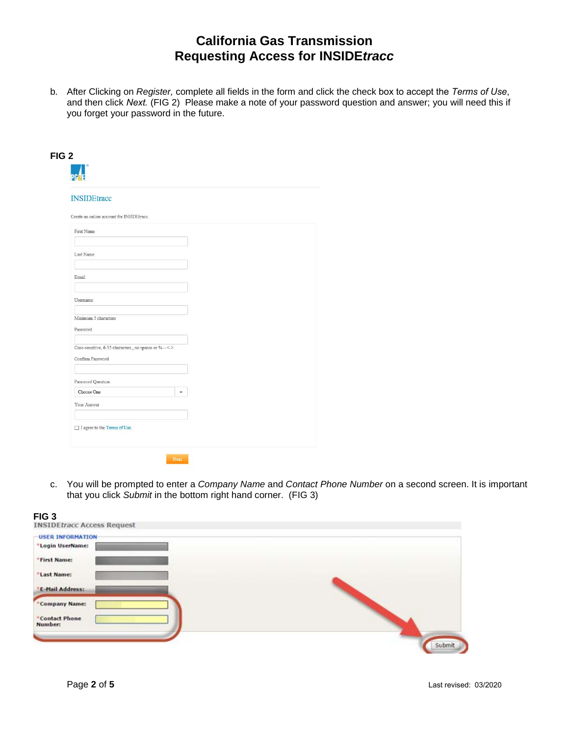b. After Clicking on *Register,* complete all fields in the form and click the check box to accept the *Terms of Use*, and then click *Next.* (FIG 2) Please make a note of your password question and answer; you will need this if you forget your password in the future.

| <b>INSIDEtracc</b>                                                 |                      |  |
|--------------------------------------------------------------------|----------------------|--|
| Create an online account for INSIDEtracc.                          |                      |  |
| First Name                                                         |                      |  |
|                                                                    |                      |  |
| Last Name                                                          |                      |  |
|                                                                    |                      |  |
| Email                                                              |                      |  |
|                                                                    |                      |  |
| Username                                                           |                      |  |
| Minimum 5 characters                                               |                      |  |
| Password                                                           |                      |  |
|                                                                    |                      |  |
| Case-sensitive, 6-35 characters., no spaces or $\% \sim \, < \, >$ |                      |  |
| Confirm Password                                                   |                      |  |
|                                                                    |                      |  |
| Password Question                                                  |                      |  |
| Choose One                                                         | $\ddot{\phantom{1}}$ |  |
| Your Answer                                                        |                      |  |
|                                                                    |                      |  |

c. You will be prompted to enter a *Company Name* and *Contact Phone Number* on a second screen. It is important that you click *Submit* in the bottom right hand corner. (FIG 3)



**FIG 3**<br>**INSIDE tracc Access Request** 

|  | Submit |
|--|--------|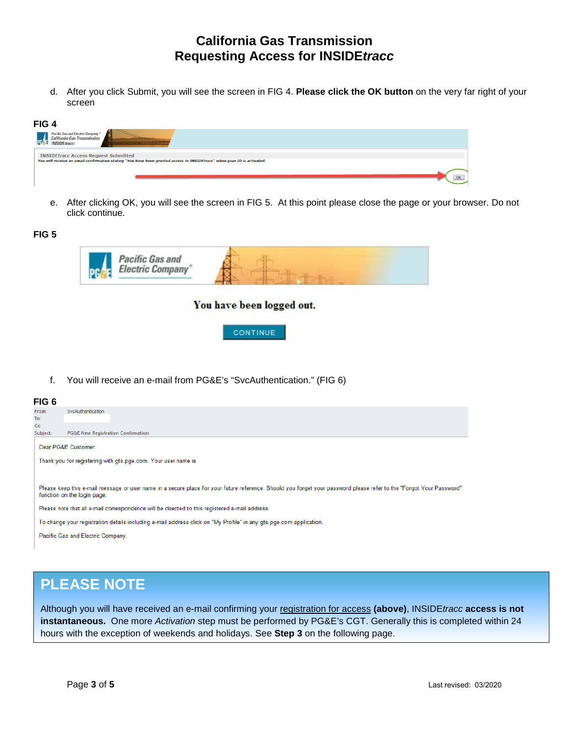d. After you click Submit, you will see the screen in FIG 4. **Please click the OK button** on the very far right of your screen

| FIG <sub>4</sub>                                                                                                                                                       |  |                        |
|------------------------------------------------------------------------------------------------------------------------------------------------------------------------|--|------------------------|
| Pacific Gas and Electric Company®<br>California Gas Transmission<br><b>INSIDEtracc</b>                                                                                 |  |                        |
| <b>INSIDEtracc Access Request Submitted</b><br>You will receive an email confirmation stating "You have been granted access to INSIDEtracc" when your ID is activated. |  |                        |
|                                                                                                                                                                        |  | $\overline{\text{OK}}$ |
|                                                                                                                                                                        |  |                        |

e. After clicking OK, you will see the screen in FIG 5. At this point please close the page or your browser. Do not click continue.

### **FIG 5**

| Pacific Gas and<br>Electric Company<br>DC |                           |  |  |
|-------------------------------------------|---------------------------|--|--|
|                                           | You have been logged out. |  |  |
|                                           | <b>CONTINUE</b>           |  |  |

f. You will receive an e-mail from PG&E's "SvcAuthentication." (FIG 6)

#### **FIG 6**

| From:    | SvcAuthentication                                                                                                                                                                                   |
|----------|-----------------------------------------------------------------------------------------------------------------------------------------------------------------------------------------------------|
| To:      |                                                                                                                                                                                                     |
| Cc:      |                                                                                                                                                                                                     |
| Subject: | PG&E New Registration Confirmation                                                                                                                                                                  |
|          | Dear PG&E Customer:                                                                                                                                                                                 |
|          | Thank you for registering with gts.pge.com. Your user name is                                                                                                                                       |
|          |                                                                                                                                                                                                     |
|          | Please keep this e-mail message or user name in a secure place for your future reference. Should you forget your password please refer to the "Forgot Your Password"<br>function on the login page. |
|          | Please note that all e-mail correspondence will be directed to this registered e-mail address.                                                                                                      |
|          | To change your registration details including e-mail address click on "My Profile" in any gts.pge.com application.                                                                                  |
|          | Pacific Gas and Electric Company.                                                                                                                                                                   |

## **PLEASE NOTE**

Although you will have received an e-mail confirming your registration for access **(above)**, INSIDE*tracc* **access is not instantaneous.** One more *Activation* step must be performed by PG&E's CGT. Generally this is completed within 24 hours with the exception of weekends and holidays. See **Step 3** on the following page.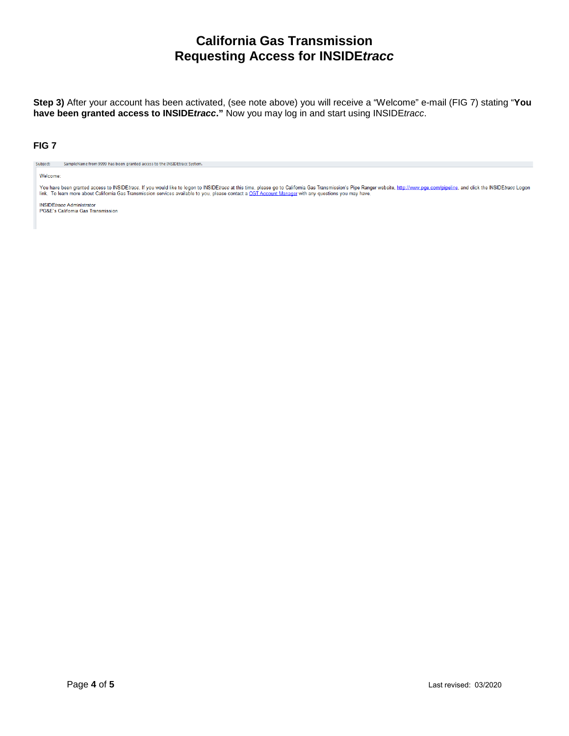**Step 3)** After your account has been activated, (see note above) you will receive a "Welcome" e-mail (FIG 7) stating "**You have been granted access to INSIDE***tracc***."** Now you may log in and start using INSIDE*tracc*.

### **FIG 7**

Subject: SampleName from 9999 has been granted access to the INSIDEtracc System.

#### Welcome:

You have been granted access to INSIDE*tracc.* If you would like to logon to INSIDE*tracc* at this time, please go to California Gas Transmission's Pipe Ranger website, <u>http://www.pge.com/pipeline,</u> and click the INSIDE*t* 

**INSIDE**tracc Administrator PG&E's California Gas Transmission